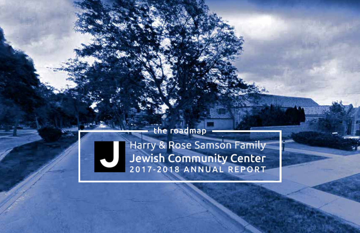

Harry & Rose Samson Family Harry & Rose Samson Family<br>Jewish Community Center<br>2017-2018 ANNUAL REPORT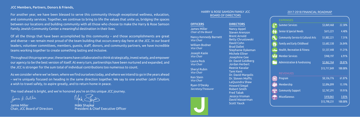## JCC Members, Partners, Donors & Friends,

For another year, we have been blessed to serve this community through exceptional wellness, education, and community services. Together, we continue to bring to life the values that unite us, bridging the spaces between our locations and building community with all those who choose to make the Harry & Rose Samson Family Jewish Community Center a meaningful destination in their lives.

Of all the things that have been accomplished by this community – and those accomplishments are great and diverse – we remain most proud of the team building that occurs every day here at the JCC. In our board leaders, volunteer committees, members, guests, staff, donors, and community partners, we have incredible teams working together to create something lasting and inclusive.

Jamie Miller Mark Shapiro



**President & Chief Executive Officer** 

Throughout this program year, these teams have collaborated to think strategically, invest wisely, and empower our agency to be the best version of itself. At every turn, partnerships have been nurtured and expanded, and the JCC is stronger for the sum total of individual contributions too numerous to count.

As we consider where we've been, where we find ourselves today, and where we intend to go in the years ahead – we're uniquely focused on heading in the same direction together. We say to one another *Leich l'shalom*; a wish to travel safely, to aspire greatly, and to return home in peace.

The road ahead is bright, and we're honored you're on this unique JCC journey.

Jomes J. Miller

James Miller *Chair of the Board* Nancy Kennedy Barnett *Vice Chair* William Bodner *Vice Chair* Joseph Kasle *Vice Chair* Laura Peck *Vice Chair* Sheryl Rubin *Vice Chair* Ken Stein *Vice Chair* Ryan O'Desky *Secretary/Treasurer*



### DIRECTORS

Nancy Appel Steven Arenzon Brent Arnold Betty Chrustowski David Cohn Brad Dallet Stephanie Dykeman Michele Ellner Josephine Gee Dr. David Goldberg Jordan Herbert Reenie Kavalar Tami Kent Dr. David Margolis Dr. Steven Moffic LaQuondra Shaw Howard Siegal Robert Smith Fred Tabak Jessica Vroman David Wasserman Scott Yauck

HARRY & ROSE SAMSON FAMILY JCC BOARD OF DIRECTORS

### **OFFICERS**

### 2017-2018 FINANCIAL ROADMAP

| <b>EXPENSES</b>                              |              |         |
|----------------------------------------------|--------------|---------|
| <b>Summer Services</b>                       | \$3,069,468  | 22.38%  |
| <b>Senior &amp; Special Needs</b>            | \$615,221    | 4.48%   |
| <b>Community Service &amp; Cultural Arts</b> | \$1,002,221  | 7.31%   |
| <b>Family and Early Childhood</b>            | \$3,682,530  | 26.84%  |
| <b>Health, Recreation &amp; Fitness</b>      | \$1,537,448  | 11.21%  |
| <b>Member Services</b>                       | \$948,197    | 6.91%   |
| <b>Administration &amp; Fundraising</b>      | \$2,862,764  | 20.87%  |
|                                              | \$13,717,849 | 100.00% |
| <b>REVENUES</b>                              |              |         |
| Program                                      | \$8,536,776  | 61.87%  |
| Membership                                   | \$2,096,099  | 15.19%  |
| <b>Community Support</b>                     | \$2,747,291  | 19.91%  |
| <b>Miscellaneous</b>                         | \$418,065    | 3.03%   |
|                                              | \$13,798,231 | 100.00% |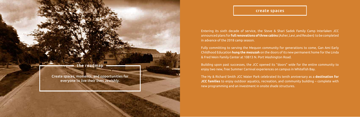Create spaces, moments, and opportunities for everyone to live their lives Jewishly.

Entering its sixth decade of service, the Steve & Shari Sadek Family Camp Interlaken JCC announced plans for **full renovations of three cabins** (Asher, Levi, and Reuben) to be completed in advance of the 2018 camp season.

Fully committing to serving the Mequon community for generations to come, Gan Ami Early Childhood Education **hung the mezuzah** on the doors of its new permanent home for the Linda & Fred Wein Family Center at 10813 N. Port Washington Road.

Building upon past successes, the JCC opened its "doors" wide for the entire community to enjoy two new, free Summer Carnival experiences on campus in Whitefish Bay.

The Hy & Richard Smith JCC Water Park celebrated its tenth anniversary as a **destination for JCC families** to enjoy outdoor aquatics, recreation, and community building – complete with new programming and an investment in onsite shade structures.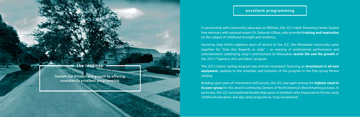Sustain our mission and growth by offering consistently excellent programming.

# excellent programming

In partnership with community advocates at REDGen, the JCC's Nash Parenting Center hosted free seminars with national expert Dr. Deborah Gilboa, who provided **training and inspiration**  on the subject of childhood strength and resiliency.

Honoring Jody Hirsh's eighteen years of service to the JCC, the Milwaukee community came together for "Give Our Regards to Jody" – an evening of professional performance and entertainment celebrating Jody's contributions to Milwaukee **Jewish life and the growth** of the JCC's "Tapestry: Arts and Ideas" program.

The JCC's indoor cycling program was entirely revamped, featuring an **investment in all-new equipment**, updates to the schedule, and inclusion of the program in the free group fitness catalog.

Building upon years of investment and success, the JCC was again among the **highest rated in its peer group** for the Jewish Community Centers of North America's Benchmarking process. In particular, the JCC accomplished double-digit gains in members who measured its fitness, early childhood education, and day camp programs as 'truly exceptional.'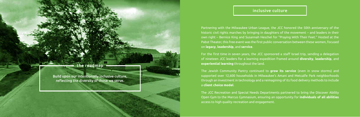Build upon our intentionally inclusive culture, reflecting the diversity of those we serve.

# inclusive culture

Partnering with the Milwaukee Urban League, the JCC honored the 50th anniversary of the historic civil rights marches by bringing in daughters of the movement – and leaders in their own right – Bernice King and Susannah Heschel for "Praying With Their Feet." Hosted at the Pabst Theater, this free event was the first public conversation between these women, focused on **legacy**, **leadership**, and **service**.

For the first time in seven years, the JCC sponsored a staff Israel trip, sending a delegation of nineteen JCC leaders for a learning expedition framed around **diversity**, **leadership**, and **experiential learning** throughout the land.

The Jewish Community Pantry continued to **grow its service** (even in snow storms) and supported over 12,600 households in Milwaukee's Amani and Metcalfe Park neighborhoods through an investment in technology and a reimagining of its food delivery methods to include a **client choice model**.

The JCC Recreation and Special Needs Departments partnered to bring the Discover Ability Open Gym to the Marcus Gymnasium, ensuring an opportunity for **individuals of all abilities** access to high quality recreation and engagement.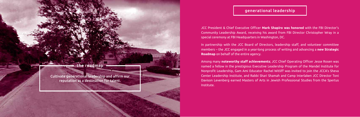Cultivate generational leadership and affirm our reputation as a destination for talent.

# generational leadership

JCC President & Chief Executive Officer **Mark Shapiro was honored** with the FBI Director's Community Leadership Award, receiving his award from FBI Director Christopher Wray in a special ceremony at FBI Headquarters in Washington, DC.

In partnership with the JCC Board of Directors, leadership staff, and volunteer committee members – the JCC engaged in a year-long process of writing and advancing a **new Strategic Roadmap** on behalf of the entire agency.

Among many **noteworthy staff achievements**; JCC Chief Operating Officer Jesse Rosen was named a fellow in the prestigious Executive Leadership Program of the Mandel Institute for Nonprofit Leadership, Gam Ami Educator Rachel Witliff was invited to join the JCCA's Sheva Center Leadership Institute, and Rabbi Shari Shamah and Camp Interlaken JCC Director Toni Davison Levenberg earned Masters of Arts in Jewish Professional Studies from the Spertus Institute.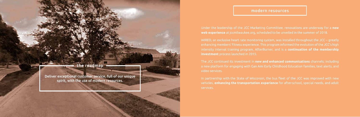Deliver exceptional customer service, full of our unique spirit, with the use of modern resources.

## modern resources

Under the leadership of the JCC Marketing Committee, renovations are underway for a **new web experience** at jccmilwaukee.org, scheduled to be unveiled in the summer of 2018.

WIRED, an exclusive heart rate monitoring system, was installed throughout the JCC – greatly enhancing members' fitness experience. This program informed the evolution of the JCC's high intensity interval training program, AfterBurner, and is a **continuation of the membership investment** process launched in 2015.

The JCC continued its investment in **new and enhanced communications** channels; including a new platform for engaging with Gan Ami Early Childhood Education families, text alerts, and video services.

In partnership with the State of Wisconsin, the bus fleet of the JCC was improved with new vehicles, **enhancing the transportation experience** for after-school, special needs, and adult services.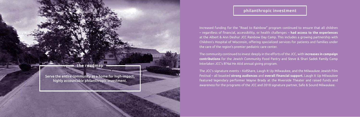Serve the entire community as a home for high-impact, highly accountable philanthropic investment.

# philanthropic investment

Increased funding for the "Road to Rainbow" program continued to ensure that all children – regardless of financial, accessibility, or health challenges – **had access to the experiences** at the Albert & Ann Deshur JCC Rainbow Day Camp. This includes a growing partnership with Children's Hospital of Wisconsin, offering specialized services for patients and families under the care of the region's premier pediatric care center.

The community continued to invest deeply in the efforts of the JCC, with i**ncreases in campaign contributions** for the Jewish Community Food Pantry and Steve & Shari Sadek Family Camp Interlaken JCC's B'Nai He Atid annual giving program.

The JCC's signature events – KidShare, Laugh It Up Milwaukee, and the Milwaukee Jewish Film Festival – all boasted **strong audiences** and **overall financial support.** Laugh It Up Milwaukee featured legendary performer Wayne Brady at the Riverside Theater and raised funds and awareness for the programs of the JCC and 2018 signature partner, Safe & Sound Milwaukee.